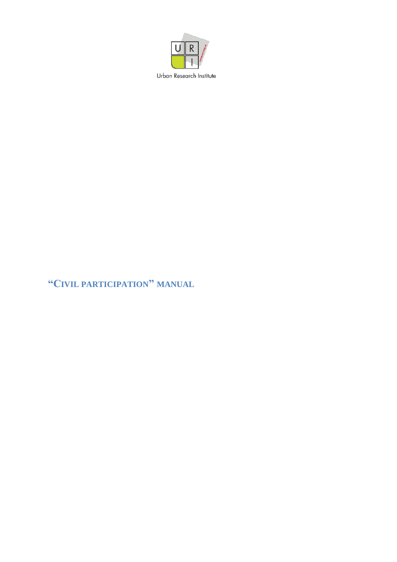

## "CIVIL PARTICIPATION" MANUAL